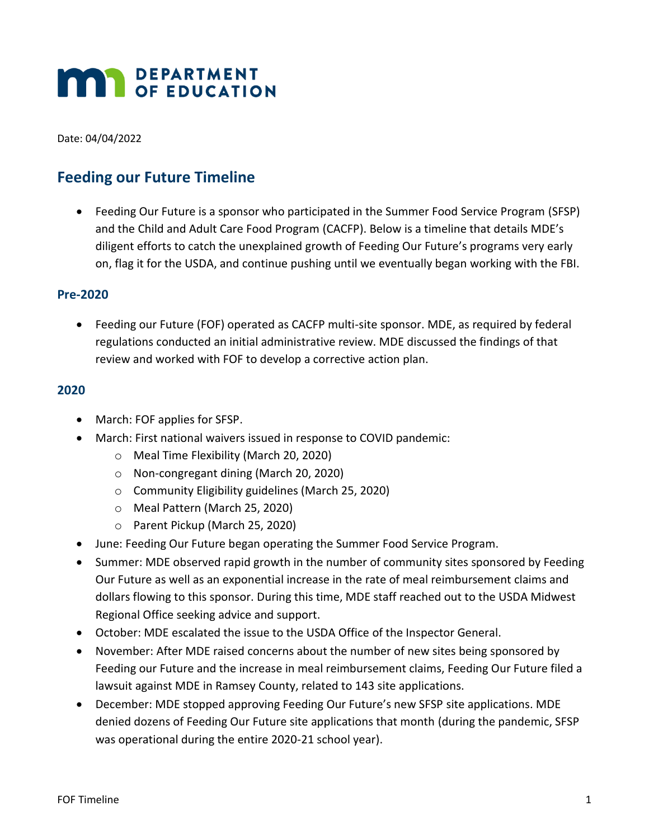# **MAR** DEPARTMENT

Date: 04/04/2022

### **Feeding our Future Timeline**

• Feeding Our Future is a sponsor who participated in the Summer Food Service Program (SFSP) and the Child and Adult Care Food Program (CACFP). Below is a timeline that details MDE's diligent efforts to catch the unexplained growth of Feeding Our Future's programs very early on, flag it for the USDA, and continue pushing until we eventually began working with the FBI.

#### **Pre-2020**

• Feeding our Future (FOF) operated as CACFP multi-site sponsor. MDE, as required by federal regulations conducted an initial administrative review. MDE discussed the findings of that review and worked with FOF to develop a corrective action plan.

#### **2020**

- March: FOF applies for SFSP.
- March: First national waivers issued in response to COVID pandemic:
	- o Meal Time Flexibility (March 20, 2020)
	- o Non-congregant dining (March 20, 2020)
	- o Community Eligibility guidelines (March 25, 2020)
	- o Meal Pattern (March 25, 2020)
	- o Parent Pickup (March 25, 2020)
- June: Feeding Our Future began operating the Summer Food Service Program.
- Summer: MDE observed rapid growth in the number of community sites sponsored by Feeding Our Future as well as an exponential increase in the rate of meal reimbursement claims and dollars flowing to this sponsor. During this time, MDE staff reached out to the USDA Midwest Regional Office seeking advice and support.
- October: MDE escalated the issue to the USDA Office of the Inspector General.
- November: After MDE raised concerns about the number of new sites being sponsored by Feeding our Future and the increase in meal reimbursement claims, Feeding Our Future filed a lawsuit against MDE in Ramsey County, related to 143 site applications.
- December: MDE stopped approving Feeding Our Future's new SFSP site applications. MDE denied dozens of Feeding Our Future site applications that month (during the pandemic, SFSP was operational during the entire 2020-21 school year).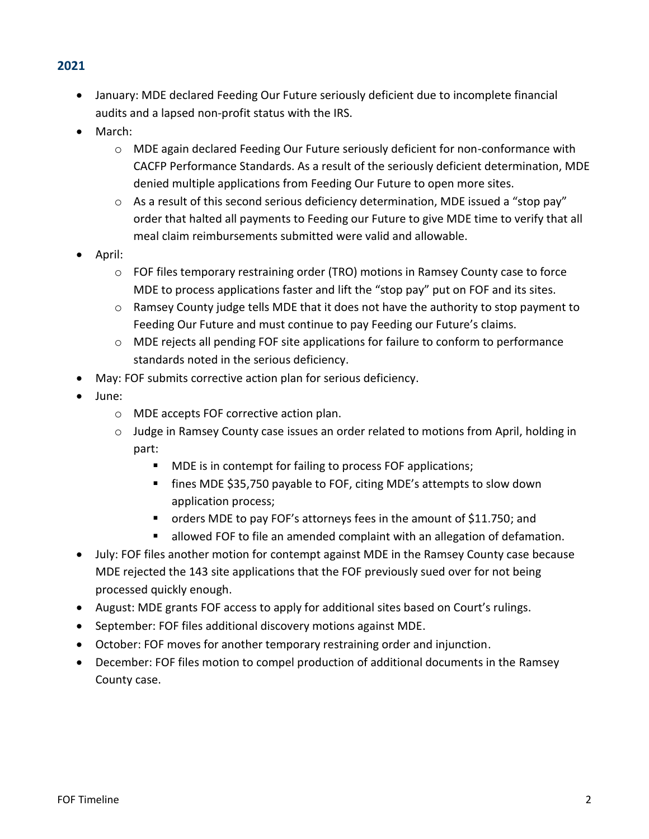#### **2021**

- January: MDE declared Feeding Our Future seriously deficient due to incomplete financial audits and a lapsed non-profit status with the IRS.
- March:
	- $\circ$  MDE again declared Feeding Our Future seriously deficient for non-conformance with CACFP Performance Standards. As a result of the seriously deficient determination, MDE denied multiple applications from Feeding Our Future to open more sites.
	- $\circ$  As a result of this second serious deficiency determination, MDE issued a "stop pay" order that halted all payments to Feeding our Future to give MDE time to verify that all meal claim reimbursements submitted were valid and allowable.
- April:
	- o FOF files temporary restraining order (TRO) motions in Ramsey County case to force MDE to process applications faster and lift the "stop pay" put on FOF and its sites.
	- $\circ$  Ramsey County judge tells MDE that it does not have the authority to stop payment to Feeding Our Future and must continue to pay Feeding our Future's claims.
	- o MDE rejects all pending FOF site applications for failure to conform to performance standards noted in the serious deficiency.
- May: FOF submits corrective action plan for serious deficiency.
- June:
	- o MDE accepts FOF corrective action plan.
	- o Judge in Ramsey County case issues an order related to motions from April, holding in part:
		- MDE is in contempt for failing to process FOF applications;
		- fines MDE \$35,750 payable to FOF, citing MDE's attempts to slow down application process;
		- orders MDE to pay FOF's attorneys fees in the amount of \$11.750; and
		- allowed FOF to file an amended complaint with an allegation of defamation.
- July: FOF files another motion for contempt against MDE in the Ramsey County case because MDE rejected the 143 site applications that the FOF previously sued over for not being processed quickly enough.
- August: MDE grants FOF access to apply for additional sites based on Court's rulings.
- September: FOF files additional discovery motions against MDE.
- October: FOF moves for another temporary restraining order and injunction.
- December: FOF files motion to compel production of additional documents in the Ramsey County case.